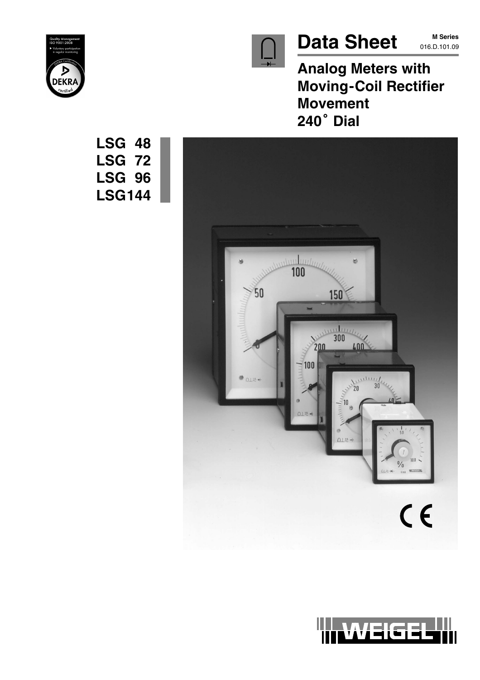

# Data Sheet M Series

**M Series**

**Analog Meters with Moving-Coil Rectifier Movement 240 Dial**



**LSG 48**

**LSG 72**

**LSG 96**

**LSG144**



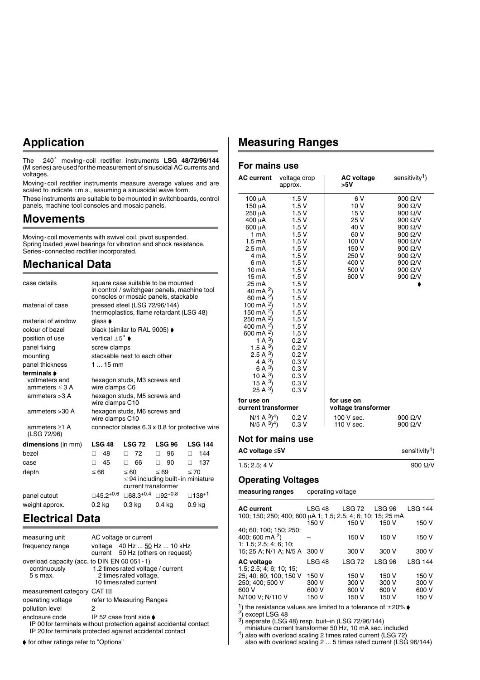### **Application**

The 240° moving-coil rectifier instruments LSG 48/72/96/144 (M series) are used for the measurement of sinusoidal AC currents and voltages.

Moving-coil rectifier instruments measure average values and are scaled to indicate r.m.s., assuming a sinusoidal wave form.

These instruments are suitable to be mounted in switchboards, control panels, machine tool consoles and mosaic panels.

#### **Movements**

Moving-coil movements with swivel coil, pivot suspended. Spring loaded jewel bearings for vibration and shock resistance. Series-connected rectifier incorporated.

#### **Mechanical Data**

| case details                          | square case suitable to be mounted<br>in control / switchgear panels, machine tool<br>consoles or mosaic panels, stackable |                                                                           |                                                       |                                                |
|---------------------------------------|----------------------------------------------------------------------------------------------------------------------------|---------------------------------------------------------------------------|-------------------------------------------------------|------------------------------------------------|
| material of case                      |                                                                                                                            | pressed steel (LSG 72/96/144)<br>thermoplastics, flame retardant (LSG 48) |                                                       |                                                |
| material of window                    | qlass $\blacktriangleright$                                                                                                |                                                                           |                                                       |                                                |
| colour of bezel                       |                                                                                                                            | black (similar to RAL 9005) $\blacktriangleright$                         |                                                       |                                                |
| position of use                       | vertical $\pm 5^{\circ}$ $\bullet$                                                                                         |                                                                           |                                                       |                                                |
| panel fixing                          | screw clamps                                                                                                               |                                                                           |                                                       |                                                |
| mounting                              |                                                                                                                            | stackable next to each other                                              |                                                       |                                                |
| panel thickness                       | $115$ mm                                                                                                                   |                                                                           |                                                       |                                                |
| terminals <b>▶</b>                    |                                                                                                                            |                                                                           |                                                       |                                                |
| voltmeters and<br>ammeters $\leq$ 3 A | wire clamps C6                                                                                                             | hexagon studs, M3 screws and                                              |                                                       |                                                |
| ammeters $>3$ A                       | wire clamps C10                                                                                                            | hexagon studs, M5 screws and                                              |                                                       |                                                |
| ammeters > 30 A                       | wire clamps C10                                                                                                            | hexagon studs, M6 screws and                                              |                                                       |                                                |
| ammeters $\geq 1$ A<br>(LSG 72/96)    |                                                                                                                            |                                                                           |                                                       | connector blades 6.3 x 0.8 for protective wire |
| dimensions (in mm)                    | <b>LSG 48</b>                                                                                                              | <b>LSG 72</b>                                                             | LSG 96                                                | <b>LSG 144</b>                                 |
| hezel                                 | 48<br>п                                                                                                                    | 72<br>п                                                                   | 96<br>п                                               | 144<br>п                                       |
| case                                  | 45                                                                                                                         | 66<br>П                                                                   | 90<br>П                                               | 137<br>п                                       |
| depth                                 | ≤ 66                                                                                                                       | ≤ 60<br>current transformer                                               | $\leq 69$<br>$\leq$ 94 including built - in miniature | $\leq 70$                                      |
| panel cutout                          | $\square$ 45.2+0.6                                                                                                         | $\Box$ 68.3+0.4 $\Box$ 92+0.8                                             |                                                       | $□138+1$                                       |
| weight approx.                        | 0.2 kg                                                                                                                     | 0.3 kg                                                                    | 0.4 kg                                                | 0.9 <sub>kq</sub>                              |

### **Electrical Data**

| measuring unit                                                              |   | AC voltage or current                                                                                                                                                        |
|-----------------------------------------------------------------------------|---|------------------------------------------------------------------------------------------------------------------------------------------------------------------------------|
| frequency range                                                             |   | voltage 40 Hz  50 Hz  10 kHz<br>current 50 Hz (others on request)                                                                                                            |
| overload capacity (acc. to DIN EN 60 051 - 1)<br>continuously<br>$5 s$ max. |   | 1.2 times rated voltage / current<br>2 times rated voltage,<br>10 times rated current                                                                                        |
| measurement category CAT III                                                |   |                                                                                                                                                                              |
| operating voltage                                                           |   | refer to Measuring Ranges                                                                                                                                                    |
| pollution level                                                             | 2 |                                                                                                                                                                              |
| enclosure code                                                              |   | IP 52 case front side $\blacktriangleright$<br>IP 00 for terminals without protection against accidental contact<br>IP 20 for terminals protected against accidental contact |

 $\bullet$  for other ratings refer to "Options"

### **Measuring Ranges**

#### **For mains use**

| <b>AC current</b>                                                                                                                                                                                                                                                                                                                                                                                            | voltage drop<br>approx.                                                                                                                                                                                                             |                            | >5V                               | <b>AC voltage</b>                                                                                 |                        | sensitivity <sup>1</sup> )                                                                                                                                                                                |
|--------------------------------------------------------------------------------------------------------------------------------------------------------------------------------------------------------------------------------------------------------------------------------------------------------------------------------------------------------------------------------------------------------------|-------------------------------------------------------------------------------------------------------------------------------------------------------------------------------------------------------------------------------------|----------------------------|-----------------------------------|---------------------------------------------------------------------------------------------------|------------------------|-----------------------------------------------------------------------------------------------------------------------------------------------------------------------------------------------------------|
| 100 µA<br>150 μΑ<br>250 µA<br>400 uA<br>600 μΑ<br>1 mA<br>$1.5 \text{ mA}$<br>2.5 mA<br>4 mA<br>6 mA<br>10 mA<br>15 mA<br>25 mA<br>40 mA <sup>2</sup> )<br>60 mA $^{2}$ )<br>100 mA $^{2}$ )<br>150 mA $^{2}$ )<br>250 mA <sup>2</sup> )<br>400 mA $^{2}$ )<br>600 mA $^{2}$ )<br>1 A $3$<br>1.5 A $3)$<br>2.5 A $^{3}$ )<br>4 A $^{3}$ )<br>6 A $^{3}$ )<br>10 A $^{3}$ )<br>15 A $^{3}$ )<br>25 A $^{3}$ ) | 1.5 V<br>1.5 V<br>1.5 V<br>1.5 V<br>1.5 V<br>1.5V<br>1.5 V<br>1.5V<br>1.5V<br>1.5 V<br>1.5V<br>1.5V<br>1.5V<br>1.5V<br>1.5V<br>1.5V<br>1.5V<br>1.5V<br>1.5V<br>1.5V<br>0.2V<br>0.2V<br>0.2V<br>0.3V<br>0.3V<br>0.3V<br>0.3V<br>0.3V |                            |                                   | 6 V<br>10 V<br>15 V<br>25 V<br>40 V<br>60 V<br>100 V<br>150 V<br>250 V<br>400 V<br>500 V<br>600 V |                        | 900 Ω/V<br>$900 \Omega/V$<br>$900 \Omega/V$<br>900 $\Omega$ /V<br>$900 \Omega/V$<br>900 $\Omega$ /V<br>$900 \Omega/V$<br>900 Ω/V<br>$900 \Omega/V$<br>$900 \Omega/V$<br>900 $\Omega$ /V<br>$900 \Omega/V$ |
| for use on<br>current transformer                                                                                                                                                                                                                                                                                                                                                                            |                                                                                                                                                                                                                                     |                            | for use on<br>voltage transformer |                                                                                                   |                        |                                                                                                                                                                                                           |
| $N/1 A^{3}$ <sup>4</sup> )<br>$N/5$ A $^{3})^{4}$ )                                                                                                                                                                                                                                                                                                                                                          | 0.2 V<br>0.3V                                                                                                                                                                                                                       |                            | 100 V sec.<br>110 V sec.          |                                                                                                   |                        | 900 Ω/V<br>$900 \Omega/V$                                                                                                                                                                                 |
| Not for mains use                                                                                                                                                                                                                                                                                                                                                                                            |                                                                                                                                                                                                                                     |                            |                                   |                                                                                                   |                        |                                                                                                                                                                                                           |
| AC voltaqe ≤5V                                                                                                                                                                                                                                                                                                                                                                                               |                                                                                                                                                                                                                                     |                            |                                   |                                                                                                   |                        | sensitivity <sup>1</sup> )                                                                                                                                                                                |
| 1.5; 2.5; 4 V                                                                                                                                                                                                                                                                                                                                                                                                |                                                                                                                                                                                                                                     |                            |                                   |                                                                                                   |                        | 900 Ω/V                                                                                                                                                                                                   |
| <b>Operating Voltages</b>                                                                                                                                                                                                                                                                                                                                                                                    |                                                                                                                                                                                                                                     |                            |                                   |                                                                                                   |                        |                                                                                                                                                                                                           |
| measuring ranges                                                                                                                                                                                                                                                                                                                                                                                             |                                                                                                                                                                                                                                     |                            | operating voltage                 |                                                                                                   |                        |                                                                                                                                                                                                           |
| AC current<br>100; 150; 250; 400; 600 µA 1; 1.5; 2.5; 4; 6; 10; 15; 25 mA                                                                                                                                                                                                                                                                                                                                    |                                                                                                                                                                                                                                     | LSG <sub>48</sub><br>150 V |                                   | <b>LSG 72</b><br>150 V                                                                            | <b>LSG 96</b><br>150 V | LSG 144<br>150 V                                                                                                                                                                                          |
| 40; 60; 100; 150; 250;<br>400; 600 mA <sup>2</sup> )                                                                                                                                                                                                                                                                                                                                                         |                                                                                                                                                                                                                                     |                            |                                   | 150 V                                                                                             | 150 V                  | 150 V                                                                                                                                                                                                     |
| 1; 1.5; 2.5; 4; 6; 10;<br>15; 25 A; N/1 A; N/5 A                                                                                                                                                                                                                                                                                                                                                             |                                                                                                                                                                                                                                     | 300 V                      |                                   | 300 V                                                                                             | 300 V                  | 300 V                                                                                                                                                                                                     |
| <b>AC voltage</b><br>1.5; 2.5; 4; 6; 10; 15;                                                                                                                                                                                                                                                                                                                                                                 |                                                                                                                                                                                                                                     | LSG 48                     |                                   | <b>LSG 72</b>                                                                                     | <b>LSG 96</b>          | <b>LSG 144</b>                                                                                                                                                                                            |

25; 40; 60; 100; 150 V 150 V 150 V 150 V 150 V 250; 400; 500 V 300 V 300 V 300 V 300 V 600 V 600 V 600 V 600 V 600 V N/100 V; N/110 V 150 V 150 V 150 V 150 V

<sup>1</sup>) the resistance values are limited to a tolerance of  $\pm 20\%$   $\blacklozenge$ <br><sup>2</sup>) except LSG 48

 $^{3)}$  separate (LSG 48) resp. buit–in (LSG 72/96/144)

miniature current transformer 50 Hz, 10 mA sec. included

 $4$ ) also with overload scaling 2 times rated current (LSG 72)

also with overload scaling 2 ... 5 times rated current (LSG 96/144)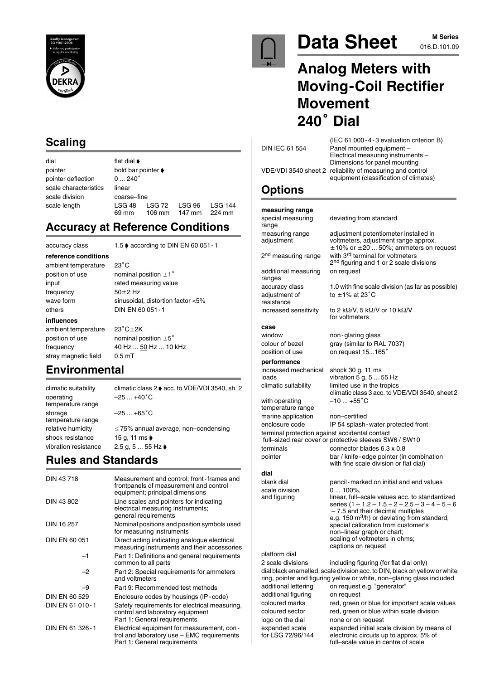

### **Scaling**

| dial                  | flat dial $\blacktriangleright$        |                  |                  |                          |
|-----------------------|----------------------------------------|------------------|------------------|--------------------------|
| pointer               | bold bar pointer $\blacktriangleright$ |                  |                  |                          |
| pointer deflection    | $0240^\circ$                           |                  |                  |                          |
| scale characteristics | linear                                 |                  |                  |                          |
| scale division        | coarse-fine                            |                  |                  |                          |
| scale length          | LSG <sub>48</sub><br>69 mm             | LSG 72<br>106 mm | LSG 96<br>147 mm | <b>LSG 144</b><br>224 mm |

### **Accuracy at Reference Conditions**

accuracy class 1.5 ♦ according to DIN EN 60 051 - 1

**reference conditions**

ambient temperature 23°C position of use nominal position  $\pm 1$ ° frequency others DIN EN 60 051-1

input rated measuring value  $50 \pm 2$  Hz wave form sinusoidal, distortion factor <5%

#### **influences**

ambient temperature  $23^{\circ}$ C $\pm$ 2K position of use nominal position  $\pm 5^{\circ}$ stray magnetic field 0.5 mT

frequency 40 Hz ... 50 Hz ... 10 kHz

### **Environmental**

climatic suitability climatic class 2  $\bullet$  acc. to VDE/VDI 3540, sh. 2 operating  $-25 ... +40^{\circ}C$ temperature range storage  $-25...+65^{\circ}C$ temperature range shock resistance 15 g, 11 ms  $\bullet$ vibration resistance  $2.5 g, 5 ... 55 Hz$ 

relative humidity  $\leq 75\%$  annual average, non–condensing

## **Rules and Standards**

| DIN 43718       | Measurement and control; front-frames and<br>frontpanels of measurement and control<br>equipment; principal dimensions   |
|-----------------|--------------------------------------------------------------------------------------------------------------------------|
| DIN 43 802      | Line scales and pointers for indicating<br>electrical measuring instruments;<br>general requirements                     |
| DIN 16 257      | Nominal positions and position symbols used<br>for measuring instruments                                                 |
| DIN EN 60 051   | Direct acting indicating analogue electrical<br>measuring instruments and their accessories                              |
| -1              | Part 1: Definitions and general requirements<br>common to all parts                                                      |
| $-2$            | Part 2: Special requirements for ammeters<br>and voltmeters                                                              |
| -9              | Part 9: Recommended test methods                                                                                         |
| DIN EN 60 529   | Enclosure codes by housings (IP-code)                                                                                    |
| DIN EN 61 010-1 | Safety requirements for electrical measuring,<br>control and laboratory equipment<br>Part 1: General requirements        |
| DIN EN 61 326-1 | Electrical equipment for measurement, con-<br>trol and laboratory use - EMC requirements<br>Part 1: General requirements |



# **Data Sheet** M Series

# **M Series**

# **Analog Meters with Moving-Coil Rectifier Movement <sup>240</sup> Dial**

| DIN IEC 61 554                                 | (IEC 61 000 - 4 - 3 evaluation criterion B)<br>Panel mounted equipment -                                                                                                            |
|------------------------------------------------|-------------------------------------------------------------------------------------------------------------------------------------------------------------------------------------|
|                                                | Electrical measuring instruments -<br>Dimensions for panel mounting                                                                                                                 |
|                                                | VDE/VDI 3540 sheet 2 reliability of measuring and control<br>equipment (classification of climates)                                                                                 |
| <b>Options</b>                                 |                                                                                                                                                                                     |
| measuring range                                |                                                                                                                                                                                     |
| special measuring<br>range                     | deviating from standard                                                                                                                                                             |
| measuring range<br>adjustment                  | adjustment potentiometer installed in<br>voltmeters, adjustment range approx.<br>$\pm 10\%$ or $\pm 20$ 50%; ammeters on request                                                    |
| 2 <sup>nd</sup> measuring range                | with 3rd terminal for voltmeters<br>2 <sup>nd</sup> figuring and 1 or 2 scale divisions                                                                                             |
| additional measuring<br>ranges                 | on request                                                                                                                                                                          |
| accuracy class<br>adjustment of<br>resistance  | 1.0 with fine scale division (as far as possible)<br>to $\pm$ 1% at 23 $^{\circ}$ C                                                                                                 |
| increased sensitivity                          | to 2 k $\Omega$ /V, 5 k $\Omega$ /V or 10 k $\Omega$ /V<br>for voltmeters                                                                                                           |
| case                                           |                                                                                                                                                                                     |
| window                                         | non-glaring glass                                                                                                                                                                   |
| colour of bezel                                | gray (similar to RAL 7037)                                                                                                                                                          |
| position of use                                | on request 15165°                                                                                                                                                                   |
| performance                                    |                                                                                                                                                                                     |
| increased mechanical<br>loads                  | shock 30 g, 11 ms<br>vibration 5 g, $555$ Hz                                                                                                                                        |
| climatic suitability                           | limited use in the tropics<br>climatic class 3 acc. to VDE/VDI 3540, sheet 2                                                                                                        |
| with operating<br>temperature range            | $-10+55^{\circ}$ C                                                                                                                                                                  |
| marine application                             | non-certified                                                                                                                                                                       |
| enclosure code                                 | IP 54 splash - water protected front                                                                                                                                                |
| terminal protection against accidental contact | full-sized rear cover or protective sleeves SW6 / SW10                                                                                                                              |
| terminals                                      | connector blades 6.3 x 0.8                                                                                                                                                          |
| pointer                                        | bar / knife-edge pointer (in combination<br>with fine scale division or flat dial)                                                                                                  |
| dial                                           |                                                                                                                                                                                     |
| blank dial                                     | pencil - marked on initial and end values                                                                                                                                           |
| scale division<br>and figuring                 | $0100\%$ .<br>linear, full-scale values acc. to standardized<br>series $(1 - 1.2 - 1.5 - 2 - 2.5 - 3 - 4 - 5 - 6)$<br>- 7.5 and their decimal multiples                             |
|                                                | e.g. 150 $\text{m}^3$ /h) or deviating from standard;<br>special calibration from customer's<br>non-linear graph or chart;                                                          |
|                                                | scaling of voltmeters in ohms;<br>captions on request                                                                                                                               |
| platform dial                                  |                                                                                                                                                                                     |
| 2 scale divisions                              | including figuring (for flat dial only)                                                                                                                                             |
| additional lettering                           | dial black enamelled, scale division acc. to DIN, black on yellow or white<br>ring, pointer and figuring yellow or white, non-glaring glass included<br>on request e.g. "generator" |
| additional figuring                            | on request                                                                                                                                                                          |
| coloured marks                                 | red, green or blue for important scale values                                                                                                                                       |
| coloured sector                                | red, green or blue within scale division                                                                                                                                            |
| logo on the dial                               | none or on request                                                                                                                                                                  |
| expanded scale<br>for LSG 72/96/144            | expanded initial scale division by means of<br>electronic circuits up to approx. 5% of                                                                                              |

full–scale value in centre of scale